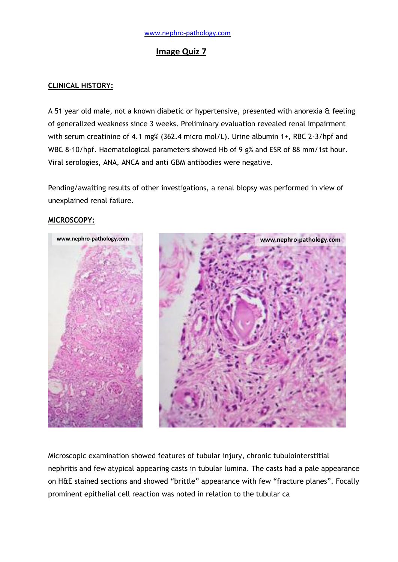# **Image Quiz 7**

## **CLINICAL HISTORY:**

A 51 year old male, not a known diabetic or hypertensive, presented with anorexia & feeling of generalized weakness since 3 weeks. Preliminary evaluation revealed renal impairment with serum creatinine of 4.1 mg% (362.4 micro mol/L). Urine albumin 1+, RBC 2-3/hpf and WBC 8-10/hpf. Haematological parameters showed Hb of 9 g% and ESR of 88 mm/1st hour. Viral serologies, ANA, ANCA and anti GBM antibodies were negative.

Pending/awaiting results of other investigations, a renal biopsy was performed in view of unexplained renal failure.

### **MICROSCOPY:**



Microscopic examination showed features of tubular injury, chronic tubulointerstitial nephritis and few atypical appearing casts in tubular lumina. The casts had a pale appearance on H&E stained sections and showed "brittle" appearance with few "fracture planes". Focally prominent epithelial cell reaction was noted in relation to the tubular ca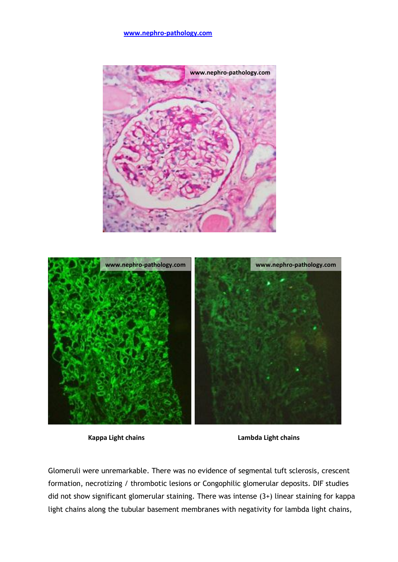### **[www.nephro-pathology.com](http://www.nephro-pathology.com/)**





**Kappa Light chains Lambda Light chains**

Glomeruli were unremarkable. There was no evidence of segmental tuft sclerosis, crescent formation, necrotizing / thrombotic lesions or Congophilic glomerular deposits. DIF studies did not show significant glomerular staining. There was intense (3+) linear staining for kappa light chains along the tubular basement membranes with negativity for lambda light chains,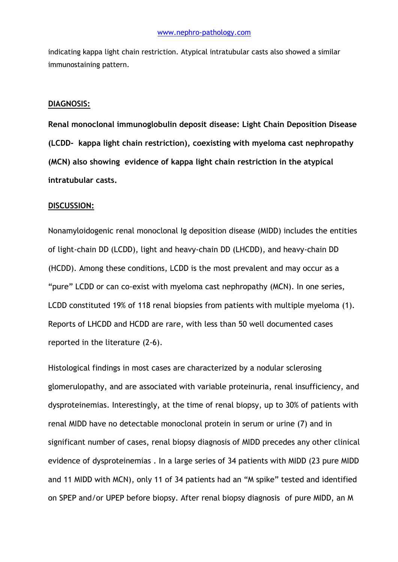indicating kappa light chain restriction. Atypical intratubular casts also showed a similar immunostaining pattern.

#### **DIAGNOSIS:**

**Renal monoclonal immunoglobulin deposit disease: Light Chain Deposition Disease (LCDD- kappa light chain restriction), coexisting with myeloma cast nephropathy (MCN) also showing evidence of kappa light chain restriction in the atypical intratubular casts.**

#### **DISCUSSION:**

Nonamyloidogenic renal monoclonal Ig deposition disease (MIDD) includes the entities of light-chain DD (LCDD), light and heavy-chain DD (LHCDD), and heavy-chain DD (HCDD). Among these conditions, LCDD is the most prevalent and may occur as a "pure" LCDD or can co-exist with myeloma cast nephropathy (MCN). In one series, LCDD constituted 19% of 118 renal biopsies from patients with multiple myeloma (1). Reports of LHCDD and HCDD are rare, with less than 50 well documented cases reported in the literature (2-6).

Histological findings in most cases are characterized by a nodular sclerosing glomerulopathy, and are associated with variable proteinuria, renal insufficiency, and dysproteinemias. Interestingly, at the time of renal biopsy, up to 30% of patients with renal MIDD have no detectable monoclonal protein in serum or urine (7) and in significant number of cases, renal biopsy diagnosis of MIDD precedes any other clinical evidence of dysproteinemias . In a large series of 34 patients with MIDD (23 pure MIDD and 11 MIDD with MCN), only 11 of 34 patients had an "M spike" tested and identified on SPEP and/or UPEP before biopsy. After renal biopsy diagnosis of pure MIDD, an M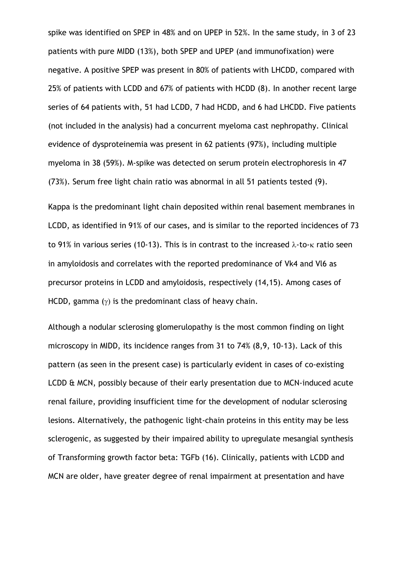spike was identified on SPEP in 48% and on UPEP in 52%. In the same study, in 3 of 23 patients with pure MIDD (13%), both SPEP and UPEP (and immunofixation) were negative. A positive SPEP was present in 80% of patients with LHCDD, compared with 25% of patients with LCDD and 67% of patients with HCDD (8). In another recent large series of 64 patients with, 51 had LCDD, 7 had HCDD, and 6 had LHCDD. Five patients (not included in the analysis) had a concurrent myeloma cast nephropathy. Clinical evidence of dysproteinemia was present in 62 patients (97%), including multiple myeloma in 38 (59%). M-spike was detected on serum protein electrophoresis in 47 (73%). Serum free light chain ratio was abnormal in all 51 patients tested (9).

Kappa is the predominant light chain deposited within renal basement membranes in LCDD, as identified in 91% of our cases, and is similar to the reported incidences of 73 to 91% in various series (10-13). This is in contrast to the increased  $\lambda$ -to- $\kappa$  ratio seen in amyloidosis and correlates with the reported predominance of Vk4 and Vl6 as precursor proteins in LCDD and amyloidosis, respectively (14,15). Among cases of HCDD, gamma  $(y)$  is the predominant class of heavy chain.

Although a nodular sclerosing glomerulopathy is the most common finding on light microscopy in MIDD, its incidence ranges from 31 to 74% (8,9, 10-13). Lack of this pattern (as seen in the present case) is particularly evident in cases of co-existing LCDD & MCN, possibly because of their early presentation due to MCN-induced acute renal failure, providing insufficient time for the development of nodular sclerosing lesions. Alternatively, the pathogenic light-chain proteins in this entity may be less sclerogenic, as suggested by their impaired ability to upregulate mesangial synthesis of Transforming growth factor beta: TGFb (16). Clinically, patients with LCDD and MCN are older, have greater degree of renal impairment at presentation and have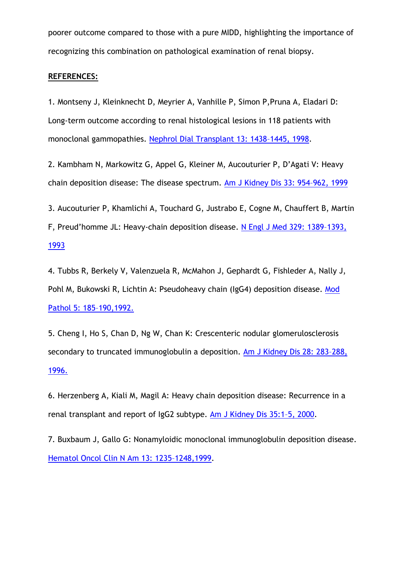poorer outcome compared to those with a pure MIDD, highlighting the importance of recognizing this combination on pathological examination of renal biopsy.

## **REFERENCES:**

1. Montseny J, Kleinknecht D, Meyrier A, Vanhille P, Simon P,Pruna A, Eladari D: Long-term outcome according to renal histological lesions in 118 patients with monoclonal gammopathies. [Nephrol Dial Transplant 13: 1438](http://www.ncbi.nlm.nih.gov/pubmed?term=Nephrol%20Dial%20Transplant%2013%3A%201438%E2%80%931445%2C%201998)–1445, 1998.

2. Kambham N, Markowitz G, Appel G, Kleiner M, Aucouturier P, D'Agati V: Heavy chain deposition disease: The disease spectrum. [Am J Kidney Dis 33: 954](http://www.ncbi.nlm.nih.gov/pubmed?term=Am%20J%20Kidney%20Dis%2033%3A%20954%E2%80%93962%2C%201999)–962, 1999

3. Aucouturier P, Khamlichi A, Touchard G, Justrabo E, Cogne M, Chauffert B, Martin

F, Preud'homme JL: Heavy-chain deposition disease. [N Engl J Med 329: 1389](http://www.ncbi.nlm.nih.gov/pubmed?term=N%20Engl%20J%20Med%20329%3A%201389%E2%80%931393%2C%201993)–1393, [1993](http://www.ncbi.nlm.nih.gov/pubmed?term=N%20Engl%20J%20Med%20329%3A%201389%E2%80%931393%2C%201993)

4. Tubbs R, Berkely V, Valenzuela R, McMahon J, Gephardt G, Fishleder A, Nally J, Pohl M, Bukowski R, Lichtin A: Pseudoheavy chain (IgG4) deposition disease. [Mod](http://www.ncbi.nlm.nih.gov/pubmed?term=Mod%20Pathol%205%3A%20185%E2%80%93190%2C1992.)  [Pathol 5: 185](http://www.ncbi.nlm.nih.gov/pubmed?term=Mod%20Pathol%205%3A%20185%E2%80%93190%2C1992.)–190,1992.

5. Cheng I, Ho S, Chan D, Ng W, Chan K: Crescenteric nodular glomerulosclerosis secondary to truncated immunoglobulin a deposition. [Am J Kidney Dis 28: 283](http://www.ncbi.nlm.nih.gov/pubmed?term=Am%20J%20Kidney%20Dis%2028%3A%20283%E2%80%93288%2C%201996.)–288, [1996.](http://www.ncbi.nlm.nih.gov/pubmed?term=Am%20J%20Kidney%20Dis%2028%3A%20283%E2%80%93288%2C%201996.)

6. Herzenberg A, Kiali M, Magil A: Heavy chain deposition disease: Recurrence in a renal transplant and report of IgG2 subtype. [Am J Kidney Dis 35:1](http://www.ncbi.nlm.nih.gov/pubmed?term=Herzenberg%20A%2C%20Kiali%20M%2C%20Magil%20A%3A%20Heavy%20chain%20deposition%20disease%3A%20Recurrence%20in%20a%20renal%20transplant%20and%20report%20of%20IgG2%20subtype)–5, 2000.

7. Buxbaum J, Gallo G: Nonamyloidic monoclonal immunoglobulin deposition disease. [Hematol Oncol Clin N Am 13: 1235](http://www.ncbi.nlm.nih.gov/pubmed?term=Hematol%20Oncol%20Clin%20N%20Am%2013%3A%201235%E2%80%931248%2C1999)–1248,1999.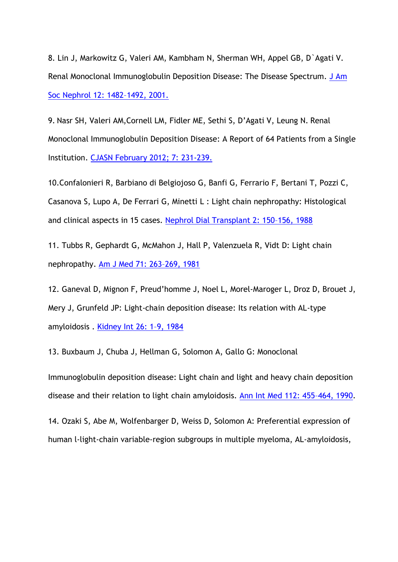8. Lin J, Markowitz G, Valeri AM, Kambham N, Sherman WH, Appel GB, D`Agati V. Renal Monoclonal Immunoglobulin Deposition Disease: The Disease Spectrum. [J Am](http://www.ncbi.nlm.nih.gov/pubmed?term=J%20Am%20Soc%20Nephrol%2012%3A%201482%E2%80%931492%2C%202001.)  [Soc Nephrol 12: 1482](http://www.ncbi.nlm.nih.gov/pubmed?term=J%20Am%20Soc%20Nephrol%2012%3A%201482%E2%80%931492%2C%202001.)–1492, 2001.

9. Nasr SH, Valeri AM,Cornell LM, Fidler ME, Sethi S, D'Agati V, Leung N. Renal Monoclonal Immunoglobulin Deposition Disease: A Report of 64 Patients from a Single Institution. [CJASN February 2012;](http://www.ncbi.nlm.nih.gov/pubmed?term=Nasr%20SH%2C%20Valeri%20AM%2CCornell%20LM%2C%20Fidler%20ME%2C%20Sethi%20S%2C%20D%E2%80%99Agati%20V%2C%20Leung%20N.%20Renal%20Monoclonal%20Immunoglobulin%20Deposition%20Disease%3A%20A%20Report%20of%2064%20Patients%20from%20a%20Single%20Institution) 7: 231-239.

10.Confalonieri R, Barbiano di Belgiojoso G, Banfi G, Ferrario F, Bertani T, Pozzi C, Casanova S, Lupo A, De Ferrari G, Minetti L : Light chain nephropathy: Histological and clinical aspects in 15 cases. [Nephrol Dial Transplant 2: 150](http://www.ncbi.nlm.nih.gov/pubmed?term=Nephrol%20Dial%20Transplant%202%3A%20150%E2%80%93156%2C%201988)–156, 1988

11. Tubbs R, Gephardt G, McMahon J, Hall P, Valenzuela R, Vidt D: Light chain nephropathy. [Am J Med 71: 263](http://www.ncbi.nlm.nih.gov/pubmed?term=Am%20J%20Med%2071%3A%20263%E2%80%93269%2C%201981)–269, 1981

12. Ganeval D, Mignon F, Preud'homme J, Noel L, Morel-Maroger L, Droz D, Brouet J, Mery J, Grunfeld JP: Light-chain deposition disease: Its relation with AL-type amyloidosis . [Kidney Int 26: 1](http://www.nature.com/ki/journal/v26/n1/pdf/ki1984126a.pdf)–9, 1984

13. Buxbaum J, Chuba J, Hellman G, Solomon A, Gallo G: Monoclonal

Immunoglobulin deposition disease: Light chain and light and heavy chain deposition disease and their relation to light chain amyloidosis. [Ann Int Med 112: 455](http://www.ncbi.nlm.nih.gov/pubmed?term=Ann%20Int%20Med%20112%3A%20455%E2%80%93464%2C%201990)–464, 1990.

14. Ozaki S, Abe M, Wolfenbarger D, Weiss D, Solomon A: Preferential expression of human l-light-chain variable-region subgroups in multiple myeloma, AL-amyloidosis,